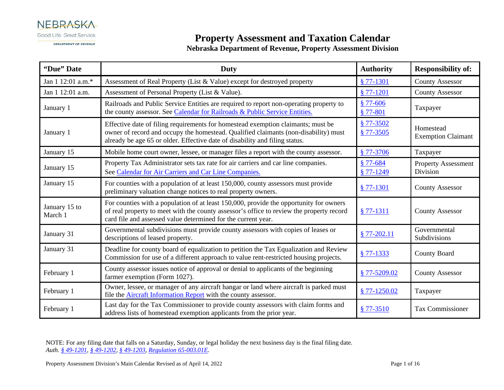

**Nebraska Department of Revenue, Property Assessment Division**

| "Due" Date               | Duty                                                                                                                                                                                                                                                   | <b>Authority</b>        | <b>Responsibility of:</b>              |
|--------------------------|--------------------------------------------------------------------------------------------------------------------------------------------------------------------------------------------------------------------------------------------------------|-------------------------|----------------------------------------|
| Jan 1 12:01 a.m.*        | Assessment of Real Property (List & Value) except for destroyed property                                                                                                                                                                               | § 77-1301               | <b>County Assessor</b>                 |
| Jan 1 12:01 a.m.         | Assessment of Personal Property (List & Value).                                                                                                                                                                                                        | $$77-1201$              | <b>County Assessor</b>                 |
| January 1                | Railroads and Public Service Entities are required to report non-operating property to<br>the county assessor. See Calendar for Railroads & Public Service Entities.                                                                                   | $$77-606$<br>$$77-801$  | Taxpayer                               |
| January 1                | Effective date of filing requirements for homestead exemption claimants; must be<br>owner of record and occupy the homestead. Qualified claimants (non-disability) must<br>already be age 65 or older. Effective date of disability and filing status. | $$77-3502$<br>§ 77-3505 | Homestead<br><b>Exemption Claimant</b> |
| January 15               | Mobile home court owner, lessee, or manager files a report with the county assessor.                                                                                                                                                                   | $$77-3706$              | Taxpayer                               |
| January 15               | Property Tax Administrator sets tax rate for air carriers and car line companies.<br>See Calendar for Air Carriers and Car Line Companies.                                                                                                             | $$77-684$<br>$$77-1249$ | <b>Property Assessment</b><br>Division |
| January 15               | For counties with a population of at least 150,000, county assessors must provide<br>preliminary valuation change notices to real property owners.                                                                                                     | § 77-1301               | <b>County Assessor</b>                 |
| January 15 to<br>March 1 | For counties with a population of at least 150,000, provide the opportunity for owners<br>of real property to meet with the county assessor's office to review the property record<br>card file and assessed value determined for the current year.    | $$77-1311$              | <b>County Assessor</b>                 |
| January 31               | Governmental subdivisions must provide county assessors with copies of leases or<br>descriptions of leased property.                                                                                                                                   | §77-202.11              | Governmental<br>Subdivisions           |
| January 31               | Deadline for county board of equalization to petition the Tax Equalization and Review<br>Commission for use of a different approach to value rent-restricted housing projects.                                                                         | $§ 77-1333$             | <b>County Board</b>                    |
| February 1               | County assessor issues notice of approval or denial to applicants of the beginning<br>farmer exemption (Form 1027).                                                                                                                                    | § 77-5209.02            | <b>County Assessor</b>                 |
| February 1               | Owner, lessee, or manager of any aircraft hangar or land where aircraft is parked must<br>file the Aircraft Information Report with the county assessor.                                                                                               | $$77-1250.02$           | Taxpayer                               |
| February 1               | Last day for the Tax Commissioner to provide county assessors with claim forms and<br>address lists of homestead exemption applicants from the prior year.                                                                                             | $$77-3510$              | <b>Tax Commissioner</b>                |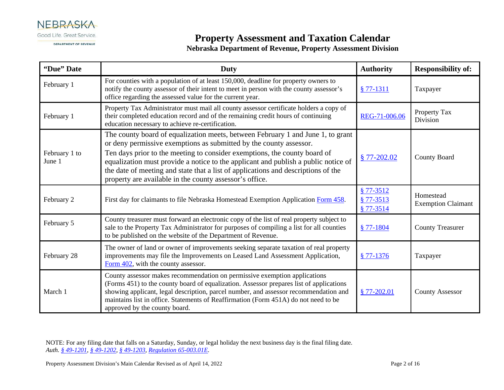

**Nebraska Department of Revenue, Property Assessment Division**

| "Due" Date              | <b>Duty</b>                                                                                                                                                                                                                                                                                                                                                                                                                                                              | <b>Authority</b>                       | <b>Responsibility of:</b>              |
|-------------------------|--------------------------------------------------------------------------------------------------------------------------------------------------------------------------------------------------------------------------------------------------------------------------------------------------------------------------------------------------------------------------------------------------------------------------------------------------------------------------|----------------------------------------|----------------------------------------|
| February 1              | For counties with a population of at least 150,000, deadline for property owners to<br>notify the county assessor of their intent to meet in person with the county assessor's<br>office regarding the assessed value for the current year.                                                                                                                                                                                                                              | $§ 77-1311$                            | Taxpayer                               |
| February 1              | Property Tax Administrator must mail all county assessor certificate holders a copy of<br>their completed education record and of the remaining credit hours of continuing<br>education necessary to achieve re-certification.                                                                                                                                                                                                                                           | REG-71-006.06                          | Property Tax<br>Division               |
| February 1 to<br>June 1 | The county board of equalization meets, between February 1 and June 1, to grant<br>or deny permissive exemptions as submitted by the county assessor.<br>Ten days prior to the meeting to consider exemptions, the county board of<br>equalization must provide a notice to the applicant and publish a public notice of<br>the date of meeting and state that a list of applications and descriptions of the<br>property are available in the county assessor's office. | $$77-202.02$                           | <b>County Board</b>                    |
| February 2              | First day for claimants to file Nebraska Homestead Exemption Application Form 458.                                                                                                                                                                                                                                                                                                                                                                                       | $$77-3512$<br>$$77-3513$<br>$$77-3514$ | Homestead<br><b>Exemption Claimant</b> |
| February 5              | County treasurer must forward an electronic copy of the list of real property subject to<br>sale to the Property Tax Administrator for purposes of compiling a list for all counties<br>to be published on the website of the Department of Revenue.                                                                                                                                                                                                                     | $$77-1804$                             | <b>County Treasurer</b>                |
| February 28             | The owner of land or owner of improvements seeking separate taxation of real property<br>improvements may file the Improvements on Leased Land Assessment Application,<br>Form $402$ , with the county assessor.                                                                                                                                                                                                                                                         | $$77-1376$                             | Taxpayer                               |
| March 1                 | County assessor makes recommendation on permissive exemption applications<br>(Forms 451) to the county board of equalization. Assessor prepares list of applications<br>showing applicant, legal description, parcel number, and assessor recommendation and<br>maintains list in office. Statements of Reaffirmation (Form 451A) do not need to be<br>approved by the county board.                                                                                     | $$77-202.01$                           | <b>County Assessor</b>                 |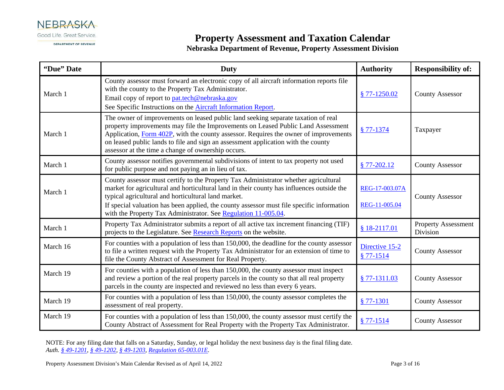

**Nebraska Department of Revenue, Property Assessment Division**

| "Due" Date | <b>Duty</b>                                                                                                                                                                                                                                                                                                                                                                                              | <b>Authority</b>                | <b>Responsibility of:</b>              |
|------------|----------------------------------------------------------------------------------------------------------------------------------------------------------------------------------------------------------------------------------------------------------------------------------------------------------------------------------------------------------------------------------------------------------|---------------------------------|----------------------------------------|
| March 1    | County assessor must forward an electronic copy of all aircraft information reports file<br>with the county to the Property Tax Administrator.<br>Email copy of report to pat.tech@nebraska.gov<br>See Specific Instructions on the Aircraft Information Report.                                                                                                                                         | $$77-1250.02$                   | <b>County Assessor</b>                 |
| March 1    | The owner of improvements on leased public land seeking separate taxation of real<br>property improvements may file the Improvements on Leased Public Land Assessment<br>Application, Form 402P, with the county assessor. Requires the owner of improvements<br>on leased public lands to file and sign an assessment application with the county<br>assessor at the time a change of ownership occurs. | § 77-1374                       | Taxpayer                               |
| March 1    | County assessor notifies governmental subdivisions of intent to tax property not used<br>for public purpose and not paying an in lieu of tax.                                                                                                                                                                                                                                                            | $$77-202.12$                    | <b>County Assessor</b>                 |
| March 1    | County assessor must certify to the Property Tax Administrator whether agricultural<br>market for agricultural and horticultural land in their county has influences outside the<br>typical agricultural and horticultural land market.<br>If special valuation has been applied, the county assessor must file specific information<br>with the Property Tax Administrator. See Regulation 11-005.04.   | REG-17-003.07A<br>REG-11-005.04 | <b>County Assessor</b>                 |
| March 1    | Property Tax Administrator submits a report of all active tax increment financing (TIF)<br>projects to the Legislature. See Research Reports on the website.                                                                                                                                                                                                                                             | § 18-2117.01                    | <b>Property Assessment</b><br>Division |
| March 16   | For counties with a population of less than 150,000, the deadline for the county assessor<br>to file a written request with the Property Tax Administrator for an extension of time to<br>file the County Abstract of Assessment for Real Property.                                                                                                                                                      | Directive 15-2<br>$$77-1514$    | <b>County Assessor</b>                 |
| March 19   | For counties with a population of less than 150,000, the county assessor must inspect<br>and review a portion of the real property parcels in the county so that all real property<br>parcels in the county are inspected and reviewed no less than every 6 years.                                                                                                                                       | $$77-1311.03$                   | <b>County Assessor</b>                 |
| March 19   | For counties with a population of less than 150,000, the county assessor completes the<br>assessment of real property.                                                                                                                                                                                                                                                                                   | $$77-1301$                      | <b>County Assessor</b>                 |
| March 19   | For counties with a population of less than 150,000, the county assessor must certify the<br>County Abstract of Assessment for Real Property with the Property Tax Administrator.                                                                                                                                                                                                                        | § 77-1514                       | <b>County Assessor</b>                 |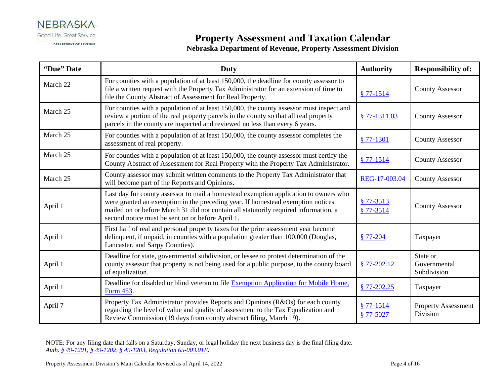

**Nebraska Department of Revenue, Property Assessment Division**

| "Due" Date | <b>Duty</b>                                                                                                                                                                                                                                                                                                         | <b>Authority</b>          | <b>Responsibility of:</b>               |
|------------|---------------------------------------------------------------------------------------------------------------------------------------------------------------------------------------------------------------------------------------------------------------------------------------------------------------------|---------------------------|-----------------------------------------|
| March 22   | For counties with a population of at least 150,000, the deadline for county assessor to<br>file a written request with the Property Tax Administrator for an extension of time to<br>file the County Abstract of Assessment for Real Property.                                                                      | $$77-1514$                | <b>County Assessor</b>                  |
| March 25   | For counties with a population of at least 150,000, the county assessor must inspect and<br>review a portion of the real property parcels in the county so that all real property<br>parcels in the county are inspected and reviewed no less than every 6 years.                                                   | $$77-1311.03$             | <b>County Assessor</b>                  |
| March 25   | For counties with a population of at least 150,000, the county assessor completes the<br>assessment of real property.                                                                                                                                                                                               | $$77-1301$                | <b>County Assessor</b>                  |
| March 25   | For counties with a population of at least 150,000, the county assessor must certify the<br>County Abstract of Assessment for Real Property with the Property Tax Administrator.                                                                                                                                    | $$77-1514$                | <b>County Assessor</b>                  |
| March 25   | County assessor may submit written comments to the Property Tax Administrator that<br>will become part of the Reports and Opinions.                                                                                                                                                                                 | REG-17-003.04             | <b>County Assessor</b>                  |
| April 1    | Last day for county assessor to mail a homestead exemption application to owners who<br>were granted an exemption in the preceding year. If homestead exemption notices<br>mailed on or before March 31 did not contain all statutorily required information, a<br>second notice must be sent on or before April 1. | $§ 77-3513$<br>§ 77-3514  | <b>County Assessor</b>                  |
| April 1    | First half of real and personal property taxes for the prior assessment year become<br>delinquent, if unpaid, in counties with a population greater than 100,000 (Douglas,<br>Lancaster, and Sarpy Counties).                                                                                                       | $$77-204$                 | Taxpayer                                |
| April 1    | Deadline for state, governmental subdivision, or lessee to protest determination of the<br>county assessor that property is not being used for a public purpose, to the county board<br>of equalization.                                                                                                            | $$77-202.12$              | State or<br>Governmental<br>Subdivision |
| April 1    | Deadline for disabled or blind veteran to file Exemption Application for Mobile Home,<br>Form 453.                                                                                                                                                                                                                  | § 77-202.25               | Taxpayer                                |
| April 7    | Property Tax Administrator provides Reports and Opinions (R&Os) for each county<br>regarding the level of value and quality of assessment to the Tax Equalization and<br>Review Commission (19 days from county abstract filing, March 19).                                                                         | $§ 77-1514$<br>$$77-5027$ | <b>Property Assessment</b><br>Division  |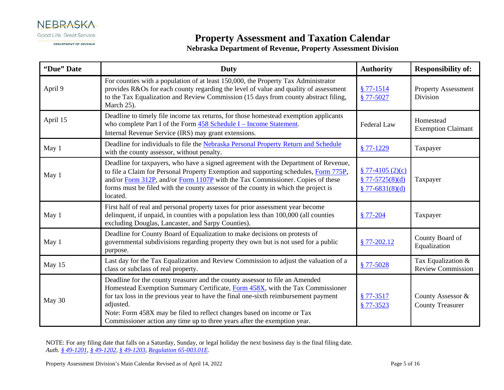

**Nebraska Department of Revenue, Property Assessment Division**

| "Due" Date | <b>Duty</b>                                                                                                                                                                                                                                                                                                                                                                                                             | <b>Authority</b>                                         | <b>Responsibility of:</b>                      |
|------------|-------------------------------------------------------------------------------------------------------------------------------------------------------------------------------------------------------------------------------------------------------------------------------------------------------------------------------------------------------------------------------------------------------------------------|----------------------------------------------------------|------------------------------------------------|
| April 9    | For counties with a population of at least 150,000, the Property Tax Administrator<br>provides R&Os for each county regarding the level of value and quality of assessment<br>to the Tax Equalization and Review Commission (15 days from county abstract filing,<br>March 25).                                                                                                                                         | $$77-1514$<br>§77-5027                                   | <b>Property Assessment</b><br>Division         |
| April 15   | Deadline to timely file income tax returns, for those homestead exemption applicants<br>who complete Part I of the Form $458$ Schedule I - Income Statement.<br>Internal Revenue Service (IRS) may grant extensions.                                                                                                                                                                                                    | Federal Law                                              | Homestead<br><b>Exemption Claimant</b>         |
| May 1      | Deadline for individuals to file the Nebraska Personal Property Return and Schedule<br>with the county assessor, without penalty.                                                                                                                                                                                                                                                                                       | $$77-1229$                                               | Taxpayer                                       |
| May 1      | Deadline for taxpayers, who have a signed agreement with the Department of Revenue,<br>to file a Claim for Personal Property Exemption and supporting schedules, Form 775P,<br>and/or Form 312P, and/or Form 1107P with the Tax Commissioner. Copies of these<br>forms must be filed with the county assessor of the county in which the project is<br>located.                                                         | $$77-4105(2)(c)$<br>$$77-5725(8)(d)$<br>$$77-6831(8)(d)$ | Taxpayer                                       |
| May 1      | First half of real and personal property taxes for prior assessment year become<br>delinquent, if unpaid, in counties with a population less than 100,000 (all counties<br>excluding Douglas, Lancaster, and Sarpy Counties).                                                                                                                                                                                           | $$77-204$                                                | Taxpayer                                       |
| May 1      | Deadline for County Board of Equalization to make decisions on protests of<br>governmental subdivisions regarding property they own but is not used for a public<br>purpose.                                                                                                                                                                                                                                            | $$77-202.12$                                             | County Board of<br>Equalization                |
| May 15     | Last day for the Tax Equalization and Review Commission to adjust the valuation of a<br>class or subclass of real property.                                                                                                                                                                                                                                                                                             | $$77-5028$                                               | Tax Equalization &<br><b>Review Commission</b> |
| May 30     | Deadline for the county treasurer and the county assessor to file an Amended<br>Homestead Exemption Summary Certificate, Form 458X, with the Tax Commissioner<br>for tax loss in the previous year to have the final one-sixth reimbursement payment<br>adjusted.<br>Note: Form 458X may be filed to reflect changes based on income or Tax<br>Commissioner action any time up to three years after the exemption year. | $$77-3517$<br><u>§77-3523</u>                            | County Assessor &<br><b>County Treasurer</b>   |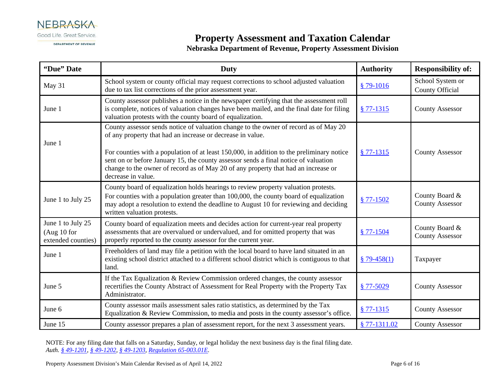

**Nebraska Department of Revenue, Property Assessment Division**

| "Due" Date                                             | Duty                                                                                                                                                                                                                                                                                                | <b>Authority</b> | <b>Responsibility of:</b>                |
|--------------------------------------------------------|-----------------------------------------------------------------------------------------------------------------------------------------------------------------------------------------------------------------------------------------------------------------------------------------------------|------------------|------------------------------------------|
| May 31                                                 | School system or county official may request corrections to school adjusted valuation<br>due to tax list corrections of the prior assessment year.                                                                                                                                                  | $$79-1016$       | School System or<br>County Official      |
| June 1                                                 | County assessor publishes a notice in the newspaper certifying that the assessment roll<br>is complete, notices of valuation changes have been mailed, and the final date for filing<br>valuation protests with the county board of equalization.                                                   | $§ 77-1315$      | <b>County Assessor</b>                   |
| June 1                                                 | County assessor sends notice of valuation change to the owner of record as of May 20<br>of any property that had an increase or decrease in value.<br>For counties with a population of at least 150,000, in addition to the preliminary notice                                                     | $$77-1315$       | <b>County Assessor</b>                   |
|                                                        | sent on or before January 15, the county assessor sends a final notice of valuation<br>change to the owner of record as of May 20 of any property that had an increase or<br>decrease in value.                                                                                                     |                  |                                          |
| June 1 to July 25                                      | County board of equalization holds hearings to review property valuation protests.<br>For counties with a population greater than 100,000, the county board of equalization<br>may adopt a resolution to extend the deadline to August 10 for reviewing and deciding<br>written valuation protests. | $$77-1502$       | County Board &<br><b>County Assessor</b> |
| June 1 to July 25<br>(Aug 10 for<br>extended counties) | County board of equalization meets and decides action for current-year real property<br>assessments that are overvalued or undervalued, and for omitted property that was<br>properly reported to the county assessor for the current year.                                                         | $$77-1504$       | County Board &<br><b>County Assessor</b> |
| June 1                                                 | Freeholders of land may file a petition with the local board to have land situated in an<br>existing school district attached to a different school district which is contiguous to that<br>land.                                                                                                   | $$79-458(1)$     | Taxpayer                                 |
| June 5                                                 | If the Tax Equalization & Review Commission ordered changes, the county assessor<br>recertifies the County Abstract of Assessment for Real Property with the Property Tax<br>Administrator.                                                                                                         | $$77-5029$       | <b>County Assessor</b>                   |
| June 6                                                 | County assessor mails assessment sales ratio statistics, as determined by the Tax<br>Equalization & Review Commission, to media and posts in the county assessor's office.                                                                                                                          | $$77-1315$       | <b>County Assessor</b>                   |
| June 15                                                | County assessor prepares a plan of assessment report, for the next 3 assessment years.                                                                                                                                                                                                              | §77-1311.02      | <b>County Assessor</b>                   |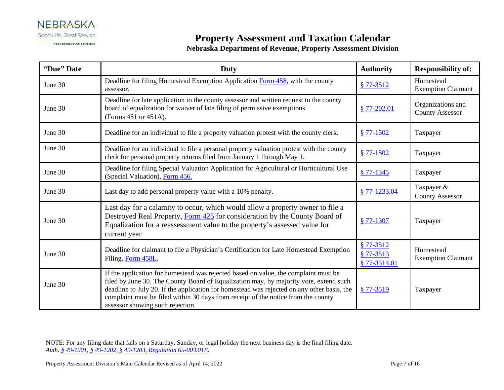

**Nebraska Department of Revenue, Property Assessment Division**

| "Due" Date | <b>Duty</b>                                                                                                                                                                                                                                                                                                                                                                                         | <b>Authority</b>                         | <b>Responsibility of:</b>                   |
|------------|-----------------------------------------------------------------------------------------------------------------------------------------------------------------------------------------------------------------------------------------------------------------------------------------------------------------------------------------------------------------------------------------------------|------------------------------------------|---------------------------------------------|
| June 30    | Deadline for filing Homestead Exemption Application Form 458, with the county<br>assessor.                                                                                                                                                                                                                                                                                                          | $$77-3512$                               | Homestead<br><b>Exemption Claimant</b>      |
| June 30    | Deadline for late application to the county assessor and written request to the county<br>board of equalization for waiver of late filing of permissive exemptions<br>(Forms 451 or 451A).                                                                                                                                                                                                          | $$77-202.01$                             | Organizations and<br><b>County Assessor</b> |
| June 30    | Deadline for an individual to file a property valuation protest with the county clerk.                                                                                                                                                                                                                                                                                                              | $$77-1502$                               | Taxpayer                                    |
| June 30    | Deadline for an individual to file a personal property valuation protest with the county<br>clerk for personal property returns filed from January 1 through May 1.                                                                                                                                                                                                                                 | $$77-1502$                               | Taxpayer                                    |
| June 30    | Deadline for filing Special Valuation Application for Agricultural or Horticultural Use<br>(Special Valuation), Form 456.                                                                                                                                                                                                                                                                           | $§ 77-1345$                              | Taxpayer                                    |
| June 30    | Last day to add personal property value with a 10% penalty.                                                                                                                                                                                                                                                                                                                                         | $$77-1233.04$                            | Taxpayer &<br><b>County Assessor</b>        |
| June 30    | Last day for a calamity to occur, which would allow a property owner to file a<br>Destroyed Real Property, Form 425 for consideration by the County Board of<br>Equalization for a reassessment value to the property's assessed value for<br>current year                                                                                                                                          | $$77-1307$                               | Taxpayer                                    |
| June 30    | Deadline for claimant to file a Physician's Certification for Late Homestead Exemption<br>Filing, Form 458L.                                                                                                                                                                                                                                                                                        | $$77-3512$<br>$$77-3513$<br>§ 77-3514.01 | Homestead<br><b>Exemption Claimant</b>      |
| June 30    | If the application for homestead was rejected based on value, the complaint must be<br>filed by June 30. The County Board of Equalization may, by majority vote, extend such<br>deadline to July 20. If the application for homestead was rejected on any other basis, the<br>complaint must be filed within 30 days from receipt of the notice from the county<br>assessor showing such rejection. | $$77-3519$                               | Taxpayer                                    |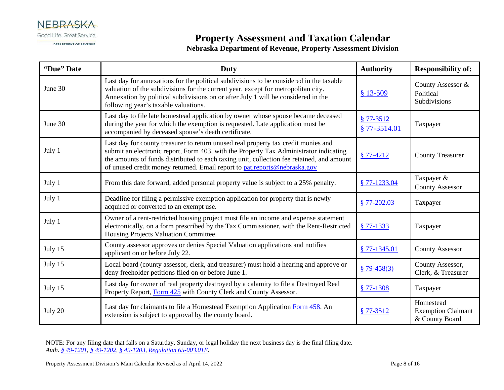

#### **Nebraska Department of Revenue, Property Assessment Division**

| "Due" Date | Duty                                                                                                                                                                                                                                                                                                                                                  | <b>Authority</b>           | <b>Responsibility of:</b>                                |
|------------|-------------------------------------------------------------------------------------------------------------------------------------------------------------------------------------------------------------------------------------------------------------------------------------------------------------------------------------------------------|----------------------------|----------------------------------------------------------|
| June 30    | Last day for annexations for the political subdivisions to be considered in the taxable<br>valuation of the subdivisions for the current year, except for metropolitan city.<br>Annexation by political subdivisions on or after July 1 will be considered in the<br>following year's taxable valuations.                                             | $$13-509$                  | County Assessor &<br>Political<br>Subdivisions           |
| June 30    | Last day to file late homestead application by owner whose spouse became deceased<br>during the year for which the exemption is requested. Late application must be<br>accompanied by deceased spouse's death certificate.                                                                                                                            | $$77-3512$<br>§ 77-3514.01 | Taxpayer                                                 |
| July 1     | Last day for county treasurer to return unused real property tax credit monies and<br>submit an electronic report, Form 403, with the Property Tax Administrator indicating<br>the amounts of funds distributed to each taxing unit, collection fee retained, and amount<br>of unused credit money returned. Email report to pat.reports@nebraska.gov | $$77-4212$                 | <b>County Treasurer</b>                                  |
| July 1     | From this date forward, added personal property value is subject to a 25% penalty.                                                                                                                                                                                                                                                                    | § 77-1233.04               | Taxpayer &<br><b>County Assessor</b>                     |
| July 1     | Deadline for filing a permissive exemption application for property that is newly<br>acquired or converted to an exempt use.                                                                                                                                                                                                                          | $$77-202.03$               | Taxpayer                                                 |
| July 1     | Owner of a rent-restricted housing project must file an income and expense statement<br>electronically, on a form prescribed by the Tax Commissioner, with the Rent-Restricted<br>Housing Projects Valuation Committee.                                                                                                                               | $$77-1333$                 | Taxpayer                                                 |
| July 15    | County assessor approves or denies Special Valuation applications and notifies<br>applicant on or before July 22.                                                                                                                                                                                                                                     | § 77-1345.01               | <b>County Assessor</b>                                   |
| July 15    | Local board (county assessor, clerk, and treasurer) must hold a hearing and approve or<br>deny freeholder petitions filed on or before June 1.                                                                                                                                                                                                        | $§ 79-458(3)$              | County Assessor,<br>Clerk, & Treasurer                   |
| July 15    | Last day for owner of real property destroyed by a calamity to file a Destroyed Real<br>Property Report, Form 425 with County Clerk and County Assessor.                                                                                                                                                                                              | $$77-1308$                 | Taxpayer                                                 |
| July 20    | Last day for claimants to file a Homestead Exemption Application Form 458. An<br>extension is subject to approval by the county board.                                                                                                                                                                                                                | $$77-3512$                 | Homestead<br><b>Exemption Claimant</b><br>& County Board |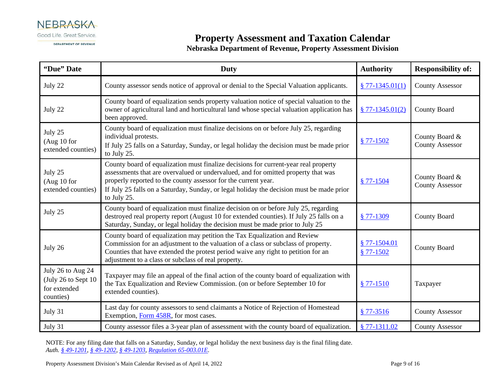

**Nebraska Department of Revenue, Property Assessment Division**

| "Due" Date                                                            | Duty                                                                                                                                                                                                                                                                                                                                                  | <b>Authority</b>           | <b>Responsibility of:</b>                |
|-----------------------------------------------------------------------|-------------------------------------------------------------------------------------------------------------------------------------------------------------------------------------------------------------------------------------------------------------------------------------------------------------------------------------------------------|----------------------------|------------------------------------------|
| July 22                                                               | County assessor sends notice of approval or denial to the Special Valuation applicants.                                                                                                                                                                                                                                                               | $$77-1345.01(1)$           | <b>County Assessor</b>                   |
| July 22                                                               | County board of equalization sends property valuation notice of special valuation to the<br>owner of agricultural land and horticultural land whose special valuation application has<br>been approved.                                                                                                                                               | $$77-1345.01(2)$           | <b>County Board</b>                      |
| July 25<br>(Aug 10 for<br>extended counties)                          | County board of equalization must finalize decisions on or before July 25, regarding<br>individual protests.<br>If July 25 falls on a Saturday, Sunday, or legal holiday the decision must be made prior<br>to July 25.                                                                                                                               | $$77-1502$                 | County Board &<br><b>County Assessor</b> |
| July 25<br>(Aug 10 for<br>extended counties)                          | County board of equalization must finalize decisions for current-year real property<br>assessments that are overvalued or undervalued, and for omitted property that was<br>properly reported to the county assessor for the current year.<br>If July 25 falls on a Saturday, Sunday, or legal holiday the decision must be made prior<br>to July 25. | § 77-1504                  | County Board &<br><b>County Assessor</b> |
| July 25                                                               | County board of equalization must finalize decision on or before July 25, regarding<br>destroyed real property report (August 10 for extended counties). If July 25 falls on a<br>Saturday, Sunday, or legal holiday the decision must be made prior to July 25                                                                                       | $$77-1309$                 | <b>County Board</b>                      |
| July 26                                                               | County board of equalization may petition the Tax Equalization and Review<br>Commission for an adjustment to the valuation of a class or subclass of property.<br>Counties that have extended the protest period waive any right to petition for an<br>adjustment to a class or subclass of real property.                                            | § 77-1504.01<br>$$77-1502$ | County Board                             |
| July 26 to Aug 24<br>(July 26 to Sept 10<br>for extended<br>counties) | Taxpayer may file an appeal of the final action of the county board of equalization with<br>the Tax Equalization and Review Commission. (on or before September 10 for<br>extended counties).                                                                                                                                                         | $$77-1510$                 | Taxpayer                                 |
| July 31                                                               | Last day for county assessors to send claimants a Notice of Rejection of Homestead<br>Exemption, Form 458R, for most cases.                                                                                                                                                                                                                           | $$77-3516$                 | <b>County Assessor</b>                   |
| July 31                                                               | County assessor files a 3-year plan of assessment with the county board of equalization.                                                                                                                                                                                                                                                              | $$77-1311.02$              | <b>County Assessor</b>                   |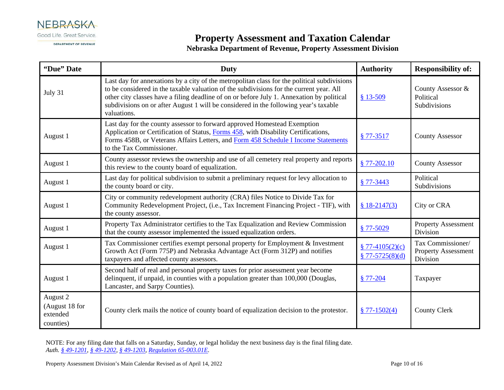

#### **Nebraska Department of Revenue, Property Assessment Division**

| "Due" Date                                          | <b>Duty</b>                                                                                                                                                                                                                                                                                                                                                                                | <b>Authority</b>                     | <b>Responsibility of:</b>                                   |
|-----------------------------------------------------|--------------------------------------------------------------------------------------------------------------------------------------------------------------------------------------------------------------------------------------------------------------------------------------------------------------------------------------------------------------------------------------------|--------------------------------------|-------------------------------------------------------------|
| July 31                                             | Last day for annexations by a city of the metropolitan class for the political subdivisions<br>to be considered in the taxable valuation of the subdivisions for the current year. All<br>other city classes have a filing deadline of on or before July 1. Annexation by political<br>subdivisions on or after August 1 will be considered in the following year's taxable<br>valuations. | $$13-509$                            | County Assessor &<br>Political<br>Subdivisions              |
| August 1                                            | Last day for the county assessor to forward approved Homestead Exemption<br>Application or Certification of Status, Forms 458, with Disability Certifications,<br>Forms 458B, or Veterans Affairs Letters, and Form 458 Schedule I Income Statements<br>to the Tax Commissioner.                                                                                                           | $$77-3517$                           | <b>County Assessor</b>                                      |
| August 1                                            | County assessor reviews the ownership and use of all cemetery real property and reports<br>this review to the county board of equalization.                                                                                                                                                                                                                                                | $$77-202.10$                         | <b>County Assessor</b>                                      |
| August 1                                            | Last day for political subdivision to submit a preliminary request for levy allocation to<br>the county board or city.                                                                                                                                                                                                                                                                     | §77-3443                             | Political<br>Subdivisions                                   |
| August 1                                            | City or community redevelopment authority (CRA) files Notice to Divide Tax for<br>Community Redevelopment Project, (i.e., Tax Increment Financing Project - TIF), with<br>the county assessor.                                                                                                                                                                                             | $$18-2147(3)$                        | City or CRA                                                 |
| August 1                                            | Property Tax Administrator certifies to the Tax Equalization and Review Commission<br>that the county assessor implemented the issued equalization orders.                                                                                                                                                                                                                                 | $$77-5029$                           | <b>Property Assessment</b><br>Division                      |
| August 1                                            | Tax Commissioner certifies exempt personal property for Employment & Investment<br>Growth Act (Form 775P) and Nebraska Advantage Act (Form 312P) and notifies<br>taxpayers and affected county assessors.                                                                                                                                                                                  | $$77-4105(2)(c)$<br>$$77-5725(8)(d)$ | Tax Commissioner/<br><b>Property Assessment</b><br>Division |
| August 1                                            | Second half of real and personal property taxes for prior assessment year become<br>delinquent, if unpaid, in counties with a population greater than 100,000 (Douglas,<br>Lancaster, and Sarpy Counties).                                                                                                                                                                                 | $$77-204$                            | Taxpayer                                                    |
| August 2<br>(August 18 for<br>extended<br>counties) | County clerk mails the notice of county board of equalization decision to the protestor.                                                                                                                                                                                                                                                                                                   | $$77-1502(4)$                        | <b>County Clerk</b>                                         |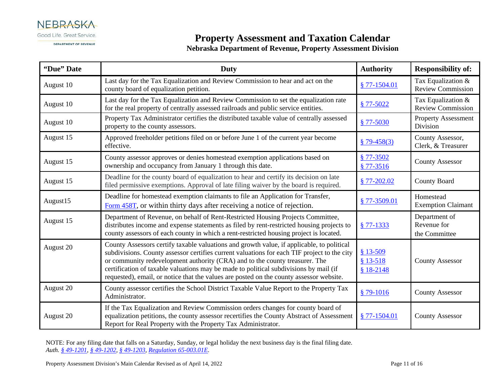

**Nebraska Department of Revenue, Property Assessment Division**

| "Due" Date | Duty                                                                                                                                                                                                                                                                                                                                                                                                                                                        | <b>Authority</b>                     | <b>Responsibility of:</b>                      |
|------------|-------------------------------------------------------------------------------------------------------------------------------------------------------------------------------------------------------------------------------------------------------------------------------------------------------------------------------------------------------------------------------------------------------------------------------------------------------------|--------------------------------------|------------------------------------------------|
| August 10  | Last day for the Tax Equalization and Review Commission to hear and act on the<br>county board of equalization petition.                                                                                                                                                                                                                                                                                                                                    | § 77-1504.01                         | Tax Equalization &<br><b>Review Commission</b> |
| August 10  | Last day for the Tax Equalization and Review Commission to set the equalization rate<br>for the real property of centrally assessed railroads and public service entities.                                                                                                                                                                                                                                                                                  | § 77-5022                            | Tax Equalization &<br><b>Review Commission</b> |
| August 10  | Property Tax Administrator certifies the distributed taxable value of centrally assessed<br>property to the county assessors.                                                                                                                                                                                                                                                                                                                               | $$77-5030$                           | Property Assessment<br>Division                |
| August 15  | Approved freeholder petitions filed on or before June 1 of the current year become<br>effective.                                                                                                                                                                                                                                                                                                                                                            | $§ 79-458(3)$                        | County Assessor,<br>Clerk, & Treasurer         |
| August 15  | County assessor approves or denies homestead exemption applications based on<br>ownership and occupancy from January 1 through this date.                                                                                                                                                                                                                                                                                                                   | $$77-3502$<br>$$77-3516$             | <b>County Assessor</b>                         |
| August 15  | Deadline for the county board of equalization to hear and certify its decision on late<br>filed permissive exemptions. Approval of late filing waiver by the board is required.                                                                                                                                                                                                                                                                             | $$77-202.02$                         | <b>County Board</b>                            |
| August15   | Deadline for homestead exemption claimants to file an Application for Transfer,<br>Form 458T, or within thirty days after receiving a notice of rejection.                                                                                                                                                                                                                                                                                                  | §77-3509.01                          | Homestead<br><b>Exemption Claimant</b>         |
| August 15  | Department of Revenue, on behalf of Rent-Restricted Housing Projects Committee,<br>distributes income and expense statements as filed by rent-restricted housing projects to<br>county assessors of each county in which a rent-restricted housing project is located.                                                                                                                                                                                      | § 77-1333                            | Department of<br>Revenue for<br>the Committee  |
| August 20  | County Assessors certify taxable valuations and growth value, if applicable, to political<br>subdivisions. County assessor certifies current valuations for each TIF project to the city<br>or community redevelopment authority (CRA) and to the county treasurer. The<br>certification of taxable valuations may be made to political subdivisions by mail (if<br>requested), email, or notice that the values are posted on the county assessor website. | $$13-509$<br>$$13-518$<br>$$18-2148$ | <b>County Assessor</b>                         |
| August 20  | County assessor certifies the School District Taxable Value Report to the Property Tax<br>Administrator.                                                                                                                                                                                                                                                                                                                                                    | $$79-1016$                           | <b>County Assessor</b>                         |
| August 20  | If the Tax Equalization and Review Commission orders changes for county board of<br>equalization petitions, the county assessor recertifies the County Abstract of Assessment<br>Report for Real Property with the Property Tax Administrator.                                                                                                                                                                                                              | $$77-1504.01$                        | <b>County Assessor</b>                         |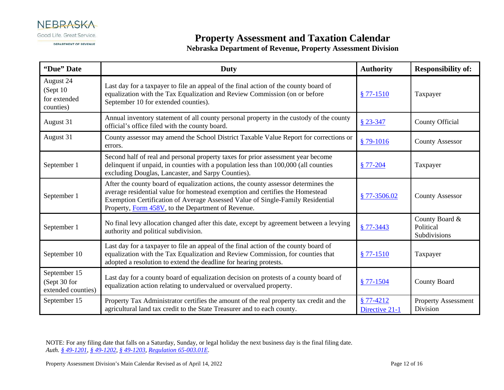

DEPARTMENT OF REVENUE

# **Property Assessment and Taxation Calendar**

**Nebraska Department of Revenue, Property Assessment Division**

| "Due" Date                                          | Duty                                                                                                                                                                                                                                                                                                        | <b>Authority</b>            | <b>Responsibility of:</b>                   |
|-----------------------------------------------------|-------------------------------------------------------------------------------------------------------------------------------------------------------------------------------------------------------------------------------------------------------------------------------------------------------------|-----------------------------|---------------------------------------------|
| August 24<br>(Sept 10)<br>for extended<br>counties) | Last day for a taxpayer to file an appeal of the final action of the county board of<br>equalization with the Tax Equalization and Review Commission (on or before<br>September 10 for extended counties).                                                                                                  | $$77-1510$                  | Taxpayer                                    |
| August 31                                           | Annual inventory statement of all county personal property in the custody of the county<br>official's office filed with the county board.                                                                                                                                                                   | $$23-347$                   | County Official                             |
| August 31                                           | County assessor may amend the School District Taxable Value Report for corrections or<br>errors.                                                                                                                                                                                                            | $$79-1016$                  | <b>County Assessor</b>                      |
| September 1                                         | Second half of real and personal property taxes for prior assessment year become<br>delinquent if unpaid, in counties with a population less than 100,000 (all counties<br>excluding Douglas, Lancaster, and Sarpy Counties).                                                                               | $$77-204$                   | Taxpayer                                    |
| September 1                                         | After the county board of equalization actions, the county assessor determines the<br>average residential value for homestead exemption and certifies the Homestead<br>Exemption Certification of Average Assessed Value of Single-Family Residential<br>Property, Form 458V, to the Department of Revenue. | $$77-3506.02$               | <b>County Assessor</b>                      |
| September 1                                         | No final levy allocation changed after this date, except by agreement between a levying<br>authority and political subdivision.                                                                                                                                                                             | $§ 77 - 3443$               | County Board &<br>Political<br>Subdivisions |
| September 10                                        | Last day for a taxpayer to file an appeal of the final action of the county board of<br>equalization with the Tax Equalization and Review Commission, for counties that<br>adopted a resolution to extend the deadline for hearing protests.                                                                | $$77-1510$                  | Taxpayer                                    |
| September 15<br>(Sept 30 for<br>extended counties)  | Last day for a county board of equalization decision on protests of a county board of<br>equalization action relating to undervalued or overvalued property.                                                                                                                                                | $$77-1504$                  | <b>County Board</b>                         |
| September 15                                        | Property Tax Administrator certifies the amount of the real property tax credit and the<br>agricultural land tax credit to the State Treasurer and to each county.                                                                                                                                          | § 77-4212<br>Directive 21-1 | <b>Property Assessment</b><br>Division      |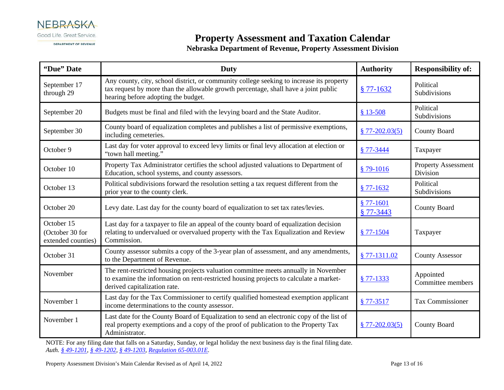

#### **Nebraska Department of Revenue, Property Assessment Division**

| "Due" Date                                          | Duty                                                                                                                                                                                                                   | <b>Authority</b>        | <b>Responsibility of:</b>              |
|-----------------------------------------------------|------------------------------------------------------------------------------------------------------------------------------------------------------------------------------------------------------------------------|-------------------------|----------------------------------------|
| September 17<br>through 29                          | Any county, city, school district, or community college seeking to increase its property<br>tax request by more than the allowable growth percentage, shall have a joint public<br>hearing before adopting the budget. | $$77-1632$              | Political<br>Subdivisions              |
| September 20                                        | Budgets must be final and filed with the levying board and the State Auditor.                                                                                                                                          | $$13-508$               | Political<br>Subdivisions              |
| September 30                                        | County board of equalization completes and publishes a list of permissive exemptions,<br>including cemeteries.                                                                                                         | $$77-202.03(5)$         | <b>County Board</b>                    |
| October 9                                           | Last day for voter approval to exceed levy limits or final levy allocation at election or<br>"town hall meeting."                                                                                                      | § 77-3444               | Taxpayer                               |
| October 10                                          | Property Tax Administrator certifies the school adjusted valuations to Department of<br>Education, school systems, and county assessors.                                                                               | $$79-1016$              | <b>Property Assessment</b><br>Division |
| October 13                                          | Political subdivisions forward the resolution setting a tax request different from the<br>prior year to the county clerk.                                                                                              | $$77-1632$              | Political<br>Subdivisions              |
| October 20                                          | Levy date. Last day for the county board of equalization to set tax rates/levies.                                                                                                                                      | $$77-1601$<br>§ 77-3443 | <b>County Board</b>                    |
| October 15<br>(October 30 for<br>extended counties) | Last day for a taxpayer to file an appeal of the county board of equalization decision<br>relating to undervalued or overvalued property with the Tax Equalization and Review<br>Commission.                           | $$77-1504$              | Taxpayer                               |
| October 31                                          | County assessor submits a copy of the 3-year plan of assessment, and any amendments,<br>to the Department of Revenue.                                                                                                  | § 77-1311.02            | <b>County Assessor</b>                 |
| November                                            | The rent-restricted housing projects valuation committee meets annually in November<br>to examine the information on rent-restricted housing projects to calculate a market-<br>derived capitalization rate.           | § 77-1333               | Appointed<br>Committee members         |
| November 1                                          | Last day for the Tax Commissioner to certify qualified homestead exemption applicant<br>income determinations to the county assessor.                                                                                  | $$77-3517$              | <b>Tax Commissioner</b>                |
| November 1                                          | Last date for the County Board of Equalization to send an electronic copy of the list of<br>real property exemptions and a copy of the proof of publication to the Property Tax<br>Administrator.                      | $$77-202.03(5)$         | <b>County Board</b>                    |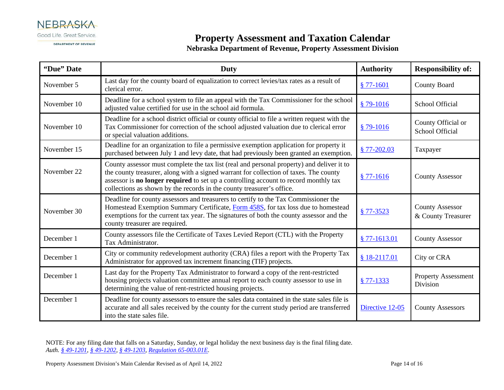

**Nebraska Department of Revenue, Property Assessment Division**

| "Due" Date  | Duty                                                                                                                                                                                                                                                                                                                                                | <b>Authority</b> | <b>Responsibility of:</b>                    |
|-------------|-----------------------------------------------------------------------------------------------------------------------------------------------------------------------------------------------------------------------------------------------------------------------------------------------------------------------------------------------------|------------------|----------------------------------------------|
| November 5  | Last day for the county board of equalization to correct levies/tax rates as a result of<br>clerical error.                                                                                                                                                                                                                                         | $$77-1601$       | <b>County Board</b>                          |
| November 10 | Deadline for a school system to file an appeal with the Tax Commissioner for the school<br>adjusted value certified for use in the school aid formula.                                                                                                                                                                                              | $$79-1016$       | School Official                              |
| November 10 | Deadline for a school district official or county official to file a written request with the<br>Tax Commissioner for correction of the school adjusted valuation due to clerical error<br>or special valuation additions.                                                                                                                          | $$79-1016$       | County Official or<br>School Official        |
| November 15 | Deadline for an organization to file a permissive exemption application for property it<br>purchased between July 1 and levy date, that had previously been granted an exemption.                                                                                                                                                                   | § 77-202.03      | Taxpayer                                     |
| November 22 | County assessor must complete the tax list (real and personal property) and deliver it to<br>the county treasurer, along with a signed warrant for collection of taxes. The county<br>assessor is no longer required to set up a controlling account to record monthly tax<br>collections as shown by the records in the county treasurer's office. | $$77-1616$       | <b>County Assessor</b>                       |
| November 30 | Deadline for county assessors and treasurers to certify to the Tax Commissioner the<br>Homestead Exemption Summary Certificate, Form 458S, for tax loss due to homestead<br>exemptions for the current tax year. The signatures of both the county assessor and the<br>county treasurer are required.                                               | $$77-3523$       | <b>County Assessor</b><br>& County Treasurer |
| December 1  | County assessors file the Certificate of Taxes Levied Report (CTL) with the Property<br>Tax Administrator.                                                                                                                                                                                                                                          | $$77-1613.01$    | <b>County Assessor</b>                       |
| December 1  | City or community redevelopment authority (CRA) files a report with the Property Tax<br>Administrator for approved tax increment financing (TIF) projects.                                                                                                                                                                                          | $$18-2117.01$    | City or CRA                                  |
| December 1  | Last day for the Property Tax Administrator to forward a copy of the rent-restricted<br>housing projects valuation committee annual report to each county assessor to use in<br>determining the value of rent-restricted housing projects.                                                                                                          | $$77-1333$       | <b>Property Assessment</b><br>Division       |
| December 1  | Deadline for county assessors to ensure the sales data contained in the state sales file is<br>accurate and all sales received by the county for the current study period are transferred<br>into the state sales file.                                                                                                                             | Directive 12-05  | <b>County Assessors</b>                      |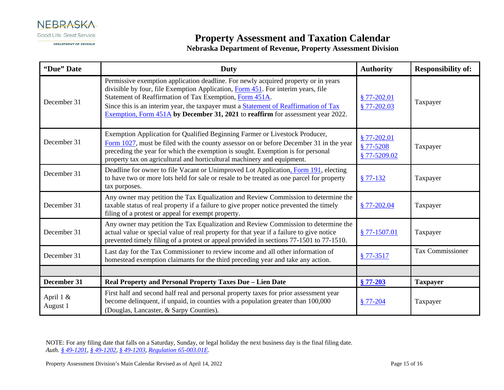

**Nebraska Department of Revenue, Property Assessment Division**

| "Due" Date               | <b>Duty</b>                                                                                                                                                                                                                                                                                                                                                                                                         | <b>Authority</b>                           | <b>Responsibility of:</b> |
|--------------------------|---------------------------------------------------------------------------------------------------------------------------------------------------------------------------------------------------------------------------------------------------------------------------------------------------------------------------------------------------------------------------------------------------------------------|--------------------------------------------|---------------------------|
| December 31              | Permissive exemption application deadline. For newly acquired property or in years<br>divisible by four, file Exemption Application, Form 451. For interim years, file<br>Statement of Reaffirmation of Tax Exemption, Form 451A.<br>Since this is an interim year, the taxpayer must a <b>Statement of Reaffirmation of Tax</b><br>Exemption, Form 451A by December 31, 2021 to reaffirm for assessment year 2022. | $$77-202.01$<br>$$77-202.03$               | Taxpayer                  |
| December 31              | Exemption Application for Qualified Beginning Farmer or Livestock Producer,<br>Form 1027, must be filed with the county assessor on or before December 31 in the year<br>preceding the year for which the exemption is sought. Exemption is for personal<br>property tax on agricultural and horticultural machinery and equipment.                                                                                 | § 77-202.01<br>$$77-5208$<br>$$77-5209.02$ | Taxpayer                  |
| December 31              | Deadline for owner to file Vacant or Unimproved Lot Application, Form 191, electing<br>to have two or more lots held for sale or resale to be treated as one parcel for property<br>tax purposes.                                                                                                                                                                                                                   | $$77-132$                                  | Taxpayer                  |
| December 31              | Any owner may petition the Tax Equalization and Review Commission to determine the<br>taxable status of real property if a failure to give proper notice prevented the timely<br>filing of a protest or appeal for exempt property.                                                                                                                                                                                 | $$77-202.04$                               | Taxpayer                  |
| December 31              | Any owner may petition the Tax Equalization and Review Commission to determine the<br>actual value or special value of real property for that year if a failure to give notice<br>prevented timely filing of a protest or appeal provided in sections 77-1501 to 77-1510.                                                                                                                                           | $$77-1507.01$                              | Taxpayer                  |
| December 31              | Last day for the Tax Commissioner to review income and all other information of<br>homestead exemption claimants for the third preceding year and take any action.                                                                                                                                                                                                                                                  | § 77-3517                                  | <b>Tax Commissioner</b>   |
|                          |                                                                                                                                                                                                                                                                                                                                                                                                                     |                                            |                           |
| December 31              | Real Property and Personal Property Taxes Due - Lien Date                                                                                                                                                                                                                                                                                                                                                           | $$77-203$                                  | <b>Taxpayer</b>           |
| April $1 &e$<br>August 1 | First half and second half real and personal property taxes for prior assessment year<br>become delinquent, if unpaid, in counties with a population greater than 100,000<br>(Douglas, Lancaster, & Sarpy Counties).                                                                                                                                                                                                | $$77-204$                                  | Taxpayer                  |